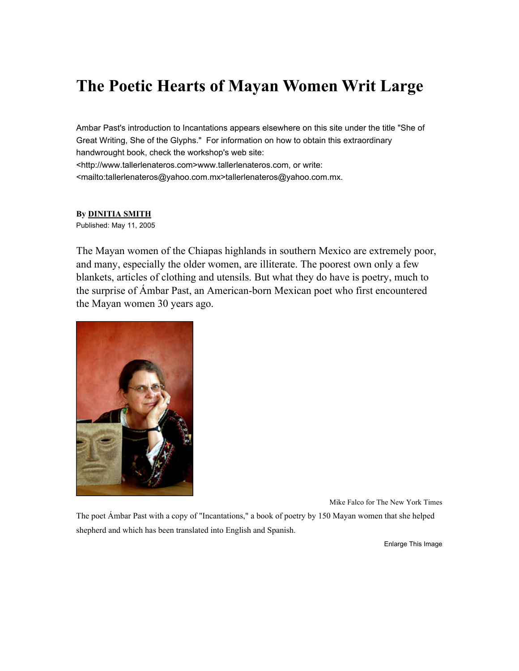## **The Poetic Hearts of Mayan Women Writ Large**

Ambar Past's introduction to Incantations appears elsewhere on this site under the title "She of Great Writing, She of the Glyphs." For information on how to obtain this extraordinary handwrought book, check the workshop's web site: <http://www.tallerlenateros.com>www.tallerlenateros.com, or write: <mailto:tallerlenateros@yahoo.com.mx>tallerlenateros@yahoo.com.mx.

## **By DINITIA SMITH**

Published: May 11, 2005

The Mayan women of the Chiapas highlands in southern Mexico are extremely poor, and many, especially the older women, are illiterate. The poorest own only a few blankets, articles of clothing and utensils. But what they do have is poetry, much to the surprise of Ámbar Past, an American-born Mexican poet who first encountered the Mayan women 30 years ago.



Mike Falco for The New York Times

The poet Ámbar Past with a copy of "Incantations," a book of poetry by 150 Mayan women that she helped shepherd and which has been translated into English and Spanish.

Enlarge This Image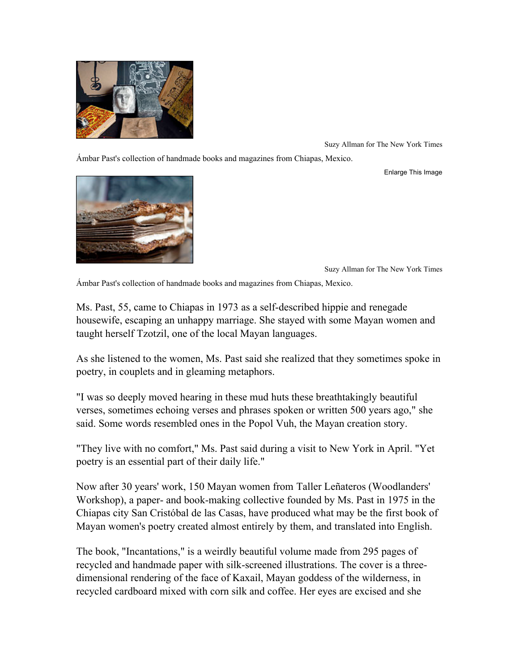

Suzy Allman for The New York Times

Ámbar Past's collection of handmade books and magazines from Chiapas, Mexico.

Enlarge This Image



Suzy Allman for The New York Times

Ámbar Past's collection of handmade books and magazines from Chiapas, Mexico.

Ms. Past, 55, came to Chiapas in 1973 as a self-described hippie and renegade housewife, escaping an unhappy marriage. She stayed with some Mayan women and taught herself Tzotzil, one of the local Mayan languages.

As she listened to the women, Ms. Past said she realized that they sometimes spoke in poetry, in couplets and in gleaming metaphors.

"I was so deeply moved hearing in these mud huts these breathtakingly beautiful verses, sometimes echoing verses and phrases spoken or written 500 years ago," she said. Some words resembled ones in the Popol Vuh, the Mayan creation story.

"They live with no comfort," Ms. Past said during a visit to New York in April. "Yet poetry is an essential part of their daily life."

Now after 30 years' work, 150 Mayan women from Taller Leñateros (Woodlanders' Workshop), a paper- and book-making collective founded by Ms. Past in 1975 in the Chiapas city San Cristóbal de las Casas, have produced what may be the first book of Mayan women's poetry created almost entirely by them, and translated into English.

The book, "Incantations," is a weirdly beautiful volume made from 295 pages of recycled and handmade paper with silk-screened illustrations. The cover is a threedimensional rendering of the face of Kaxail, Mayan goddess of the wilderness, in recycled cardboard mixed with corn silk and coffee. Her eyes are excised and she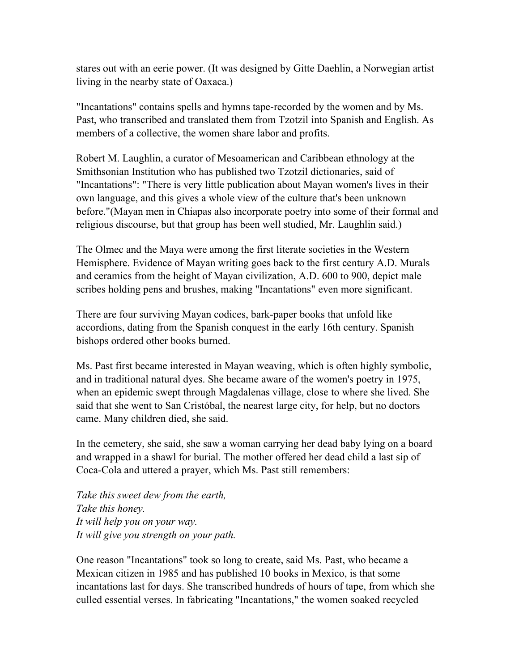stares out with an eerie power. (It was designed by Gitte Daehlin, a Norwegian artist living in the nearby state of Oaxaca.)

"Incantations" contains spells and hymns tape-recorded by the women and by Ms. Past, who transcribed and translated them from Tzotzil into Spanish and English. As members of a collective, the women share labor and profits.

Robert M. Laughlin, a curator of Mesoamerican and Caribbean ethnology at the Smithsonian Institution who has published two Tzotzil dictionaries, said of "Incantations": "There is very little publication about Mayan women's lives in their own language, and this gives a whole view of the culture that's been unknown before."(Mayan men in Chiapas also incorporate poetry into some of their formal and religious discourse, but that group has been well studied, Mr. Laughlin said.)

The Olmec and the Maya were among the first literate societies in the Western Hemisphere. Evidence of Mayan writing goes back to the first century A.D. Murals and ceramics from the height of Mayan civilization, A.D. 600 to 900, depict male scribes holding pens and brushes, making "Incantations" even more significant.

There are four surviving Mayan codices, bark-paper books that unfold like accordions, dating from the Spanish conquest in the early 16th century. Spanish bishops ordered other books burned.

Ms. Past first became interested in Mayan weaving, which is often highly symbolic, and in traditional natural dyes. She became aware of the women's poetry in 1975, when an epidemic swept through Magdalenas village, close to where she lived. She said that she went to San Cristóbal, the nearest large city, for help, but no doctors came. Many children died, she said.

In the cemetery, she said, she saw a woman carrying her dead baby lying on a board and wrapped in a shawl for burial. The mother offered her dead child a last sip of Coca-Cola and uttered a prayer, which Ms. Past still remembers:

*Take this sweet dew from the earth, Take this honey. It will help you on your way. It will give you strength on your path.*

One reason "Incantations" took so long to create, said Ms. Past, who became a Mexican citizen in 1985 and has published 10 books in Mexico, is that some incantations last for days. She transcribed hundreds of hours of tape, from which she culled essential verses. In fabricating "Incantations," the women soaked recycled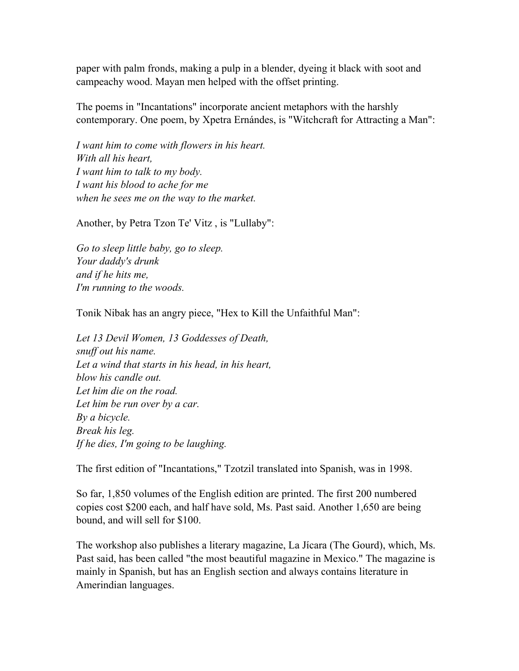paper with palm fronds, making a pulp in a blender, dyeing it black with soot and campeachy wood. Mayan men helped with the offset printing.

The poems in "Incantations" incorporate ancient metaphors with the harshly contemporary. One poem, by Xpetra Ernándes, is "Witchcraft for Attracting a Man":

*I want him to come with flowers in his heart. With all his heart, I want him to talk to my body. I want his blood to ache for me when he sees me on the way to the market.*

Another, by Petra Tzon Te' Vitz , is "Lullaby":

*Go to sleep little baby, go to sleep. Your daddy's drunk and if he hits me, I'm running to the woods.*

Tonik Nibak has an angry piece, "Hex to Kill the Unfaithful Man":

*Let 13 Devil Women, 13 Goddesses of Death, snuff out his name. Let a wind that starts in his head, in his heart, blow his candle out. Let him die on the road. Let him be run over by a car. By a bicycle. Break his leg. If he dies, I'm going to be laughing.*

The first edition of "Incantations," Tzotzil translated into Spanish, was in 1998.

So far, 1,850 volumes of the English edition are printed. The first 200 numbered copies cost \$200 each, and half have sold, Ms. Past said. Another 1,650 are being bound, and will sell for \$100.

The workshop also publishes a literary magazine, La Jícara (The Gourd), which, Ms. Past said, has been called "the most beautiful magazine in Mexico." The magazine is mainly in Spanish, but has an English section and always contains literature in Amerindian languages.